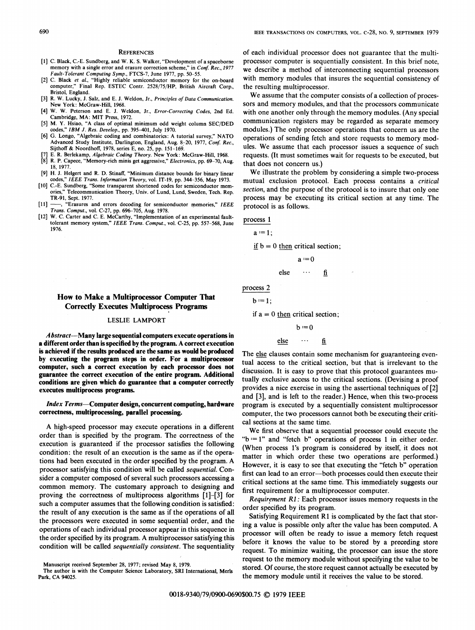#### **REFERENCES**

- [1] C. Black, C.-E. Sundberg, and W. K. S. Walker, "Development of a spaceborne memory with a single error and erasure correction scheme," in Conf. Rec., 1977 Fault-Tolerant Computing Symp., FTCS-7, June 1977, pp. 50-55.
- [2] C. Black et al., "Highly reliable semiconductor memory for the on-board computer," Final Rep. ESTEC Contr. 2528/75/HP, British Aircraft Corp., Bristol, England.
- [3] R. W. Lucky, J. Salz, and E. J. Weldon, Jr., Principles of Data Communication. New York: McGraw-Hill, 1968.
- [4] W. W. Peterson and E. J. Weldon, Jr., Error-Correcting Codes, 2nd Ed. Cambridge, MA: MIT Press, 1972.
- [5] M. Y. Hsiao, "A class of optimal minimum odd weight column SEC/DED codes," IBM J. Res. Develop., pp. 395-401, July 1970.
- [6] G. Longo, "Algebraic coding and combinatorics: A tutorial survey," NATO Advanced Study Institute, Darlington, England, Aug. 8-20, 1977, Conf. Rec., Sijthoff & Noordhoff, 1978, series E, no. 25, pp. 151-169.
- E. R. Berlekamp, Algebraic Coding Theory. New York: McGraw-Hill, 1968.
- R. P. Capece, "Memory-rich minis get aggressive," Electronics, pp. 69-70, Aug. 18, 1977.
- [9] H. J. Helgert and R. D. Stinaff, "Minimum distance bounds for binary linear codes," IEEE Trans. Information Theory, vol. IT-19, pp. 344-356, May 1973.
- [10] C.-E. Sundberg, "Some transparent shortened codes for semiconductor mem-Telecommunication Theory, Univ. of Lund, Lund, Sweden, Tech. Rep. TR-91, Sept. 1977.<br>[11] —, "Erasures a
- -, "Erasures and errors decoding for semiconductor memories," IEEE
- Trans. Comput., vol. C-27, pp. 696-705, Aug. 1978. [12] W. C. Carter and C. E. McCarthy, "Implementation of an experimental faulttolerant memory system," IEEE Trans. Comput., vol. C-25, pp. 557-568, June 1976.

How to Make a Multiprocessor Computer That Correctly Executes Multiprocess Progranm

## LESLIE LAMPORT

 $\boldsymbol{Abstract}$ —Many large sequential computers execute operations in <sup>a</sup> different order than is specified by the program. A correct execution is achieved if the results produced are the same as would be produced by executing the program steps in order. For a multiprocessor computer, such a correct execution by each processor does not guarantee the correct execution of the entire program. Additional conditions are given which do guarantee that a computer correctly executes multiprocess programs.

Index Terms-Computer design, concurrent computing, hardware correctness, multiprocessing, parallel processing.

A high-speed processor may execute operations in <sup>a</sup> different order than is specified by the program. The correctness of the execution is guaranteed if the processor satisfies the following condition: the result of an execution is the same as if the operations had been executed in the order specified by the program. A processor satisfying this condition will be called sequential. Consider a computer composed of several such processors accessing a common memory. The customary approach to designing and proving the correctness of multiprocess algorithms [1]-[3] for such a computer assumes that the following condition is satisfied: the result of any execution is the same as if the operations of all the processors were executed in some sequential order, and the operations of each individual processor appear in this sequence in the order specified by its program. A multiprocessor satisfying this condition will be called sequentially consistent. The sequentiality

of each individual processor does not guarantee that the multiprocessor computer is sequentially consistent. In this brief note, we describe a method of interconnecting sequential processors with memory modules that insures the sequential consistency of the resulting multiprocessor.

We assume that the computer consists of <sup>a</sup> collection of processors and memory modules, and that the processors communicate with one another only through the memory modules. (Any special communication registers may be regarded as separate memory modules.) The only processor operations that concern us are the operations of sending fetch and store requests to memory modules. We assume that each processor issues <sup>a</sup> sequence of such requests. (It must sometimes wait for requests to be executed, but that does not concern us.)

We illustrate the problem by considering a simple two-process mutual exclusion protocol. Each process contains a critical section, and the purpose of the protocol is to insure that only one process may be executing its critical section at any time. The protocol is as follows.

process 1

$$
\mathbf{a} := 1:
$$

if  $b = 0$  then critical section;

$$
\mathbf{a}:=0
$$

else ... fi

```
process 2
```

$$
b:=1;
$$

if  $a = 0$  then critical section;

```
b = 0
```
else ... fi

The else clauses contain some mechanism for guaranteeing eventual access to the critical section, but that is irrelevant to the discussion. It is easy to prove that this protocol guarantees mutually exclusive access to the critical sections. (Devising a proof provides a nice exercise in using the assertional techniques of [2] and [3], and is left to the reader.) Hence, when this two-process program is executed by a sequentially consistent multiprocessor computer, the two processors cannot both be executing their critical sections at the same time.

We first observe that <sup>a</sup> sequential processor could execute the " $b := 1$ " and "fetch b" operations of process 1 in either order. (When process <sup>l</sup>'s program is considered by itself, it does not matter in which order these two operations are performed.) However, it is easy to see that executing the "fetch b" operation first can lead to an error-both processes could then execute their critical sections at the same time. This immediately suggests our first requirement for a multiprocessor computer.

Requirement Rl: Each processor issues memory requests in the order specified by its program.

Satisfying Requirement RI is complicated by the fact that storing <sup>a</sup> value is possible only after the value has been computed. A processor will often be ready to issue a memory fetch request before it knows the value to be stored by a preceding store request. To minimize waiting, the processor can issue the store request to the memory module without specifying the value to be stored. Of course, the store request cannot actually be executed by the memory module until it receives the value to be stored.

690

Manuscript received September 28, 1977; revised May 8, 1979.

The author is with the Computer Science Laboratory, SRI International, Merls Park, CA 94025.